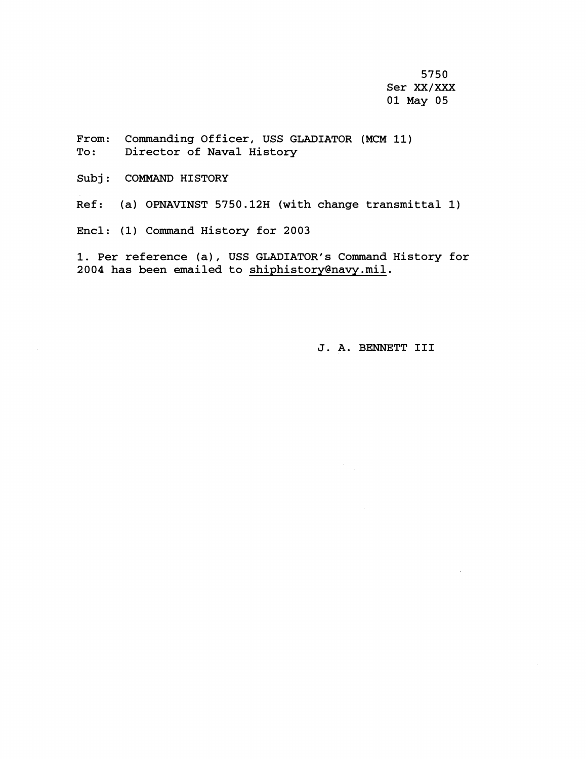5750 Ser **XX/XXX** 01 May 05

From: Commanding Officer, USS GLADIATOR (MCM 11) To: Director of Naval History

Subj: COMMAND HISTORY

Ref: (a) OPNAVINST 5750.12H (with change transmittal 1)

Encl: (1) Command History for 2003

1. Per reference (a), USS GLADIATOR's Command History for 2004 has been emailed to shiphistory@navy.mil.

J. A. BENNETT I11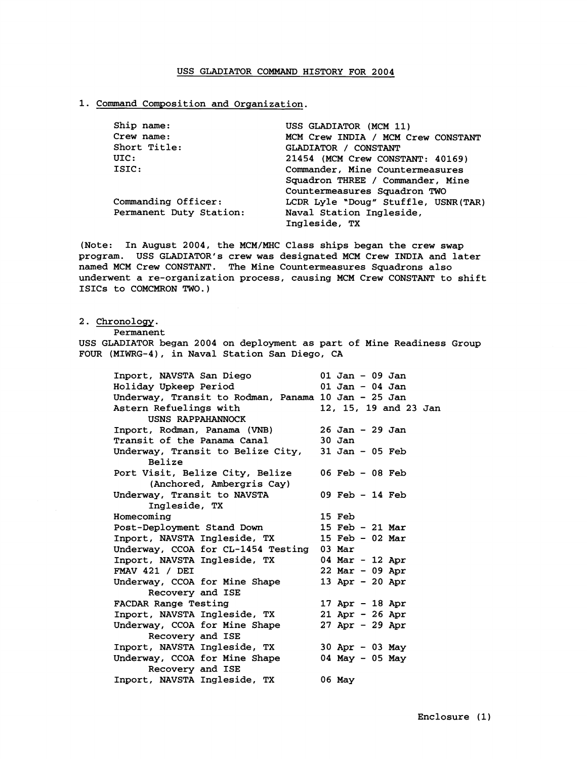## **USS GLADIATOR COMMAND HISTORY FOR 2004**

## **1. Command Composition and Organizatior;.**

| Ship name:              | USS GLADIATOR (MCM 11)               |  |
|-------------------------|--------------------------------------|--|
| Crew name:              | MCM Crew INDIA / MCM Crew CONSTANT   |  |
| Short Title:            | GLADIATOR / CONSTANT                 |  |
| UIC:                    | 21454 (MCM Crew CONSTANT: 40169)     |  |
| ISIC:                   | Commander, Mine Countermeasures      |  |
|                         | Squadron THREE / Commander, Mine     |  |
|                         | Countermeasures Squadron TWO         |  |
| Commanding Officer:     | LCDR Lyle "Doug" Stuffle, USNR (TAR) |  |
| Permanent Duty Station: | Naval Station Ingleside,             |  |
|                         | Ingleside, TX                        |  |

**(Note: In August 2004, the MCM/MHC Class ships began the crew swap program. USS GLADIATOR'S crew was designated MCM Crew INDIA and later named MCM Crew CONSTANT. The Mine Couritermeasures Squadrons also**  underwent a re-organization process, causing MCM Crew CONSTANT to shift **ISICS to COMCMRON TWO.)** 

## **2. Chronology.**

**USS GLADIATOR began 2004 on deployment as part of Mine Readiness Group FOUR (MIWRG-I), in Naval Station San Diego, CA** 

| Inport, NAVSTA San Diego                            | $01$ Jan - 09 Jan     |  |
|-----------------------------------------------------|-----------------------|--|
| Holiday Upkeep Period                               | 01 Jan - 04 Jan       |  |
| Underway, Transit to Rodman, Panama 10 Jan - 25 Jan |                       |  |
| Astern Refuelings with                              | 12, 15, 19 and 23 Jan |  |
| USNS RAPPAHANNOCK                                   |                       |  |
| Inport, Rodman, Panama (VNB)                        | $26$ Jan - $29$ Jan   |  |
| Transit of the Panama Canal                         | 30 Jan                |  |
| Underway, Transit to Belize City, 31 Jan - 05 Feb   |                       |  |
| <b>Belize</b>                                       |                       |  |
| Port Visit, Belize City, Belize                     | 06 Feb $-$ 08 Feb     |  |
| (Anchored, Ambergris Cay)                           |                       |  |
| Underway, Transit to NAVSTA                         | $09$ Feb $-14$ Feb    |  |
| Ingleside, TX                                       |                       |  |
| Homecoming                                          | 15 Feb                |  |
| Post-Deployment Stand Down                          | 15 Feb - 21 Mar       |  |
| Inport, NAVSTA Ingleside, TX                        | 15 Feb - 02 Mar       |  |
| Underway, CCOA for CL-1454 Testing                  | $03$ Mar              |  |
| Inport, NAVSTA Ingleside, TX                        | 04 Mar - 12 Apr       |  |
| FMAV 421 / DEI                                      | $22$ Mar - 09 Apr     |  |
| Underway, CCOA for Mine Shape                       | 13 Apr - 20 Apr       |  |
| Recovery and ISE                                    |                       |  |
| FACDAR Range Testing                                | 17 Apr $-$ 18 Apr     |  |
| Inport, NAVSTA Ingleside, TX                        | $21$ Apr - 26 Apr     |  |
| Underway, CCOA for Mine Shape                       | $27$ Apr - 29 Apr     |  |
| Recovery and ISE                                    |                       |  |
| Inport, NAVSTA Ingleside, TX                        | 30 Apr - 03 May       |  |
| Underway, CCOA for Mine Shape                       | 04 May $-$ 05 May     |  |
| Recovery and ISE                                    |                       |  |
|                                                     | 06 May                |  |
| Inport, NAVSTA Ingleside, TX                        |                       |  |

**Permanent**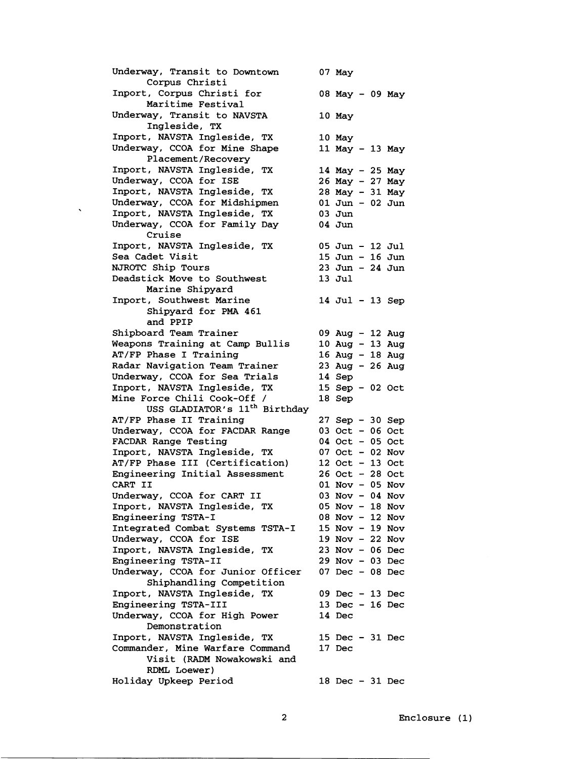Underway, Transit to Downtown 07 May Corpus Christi Inport, Corpus Christi for 08 May - 09 May Maritime Festival Underway, Transit to NAVSTA 10 May Ingleside, TX Inport, NAVSTA Ingleside, TX 10 May<br>Underway, CCOA for Mine Shape 11 May - 13 May Underway, CCOA for Mine Shape Placement/Recovery Inport, NAVSTA Ingleside, TX 14 May - 25 May<br>Underway, CCOA for ISE 26 May - 27 May Underway, CCOA for ISE 26 May - 27 May<br>Inport, NAVSTA Ingleside, TX 28 May - 31 May Inport, NAVSTA Ingleside, TX 28 May - 31 May Underway, CCOA for Midshipmen 01 Jun<br>Inport, NAVSTA Ingleside, TX 03 Jun Inport, NAVSTA Ingleside, TX 03 Jun Underway, CCOA for Family Day Cruise Inport, NAVSTA Ingleside, TX 05 Jun - 12 Jul<br>Sea Cadet Visit 15 Jun - 16 Jun  $15$  Jun -  $16$  Jun<br> $23$  Jun -  $24$  Jun NJROTC Ship Tours<br>Deadstick Move to Southwest 13 Jul Deadstick Move to Southwest Marine Shipyard Inport, Southwest Marine 14 Jul - 13 Sep Shipyard for PMA 461 and PPIP Shipboard Team Trainer 09 Aug - 12 Aug<br>Weapons Training at Camp Bullis 10 Aug - 13 Aug Weapons Training at Camp Bullis 10 Aug - 13 Aug<br>AT/FP Phase I Training 16 Aug - 18 Aug AT/FP Phase I Training 16 Aug - 18 Aug<br>Radar Navigation Team Trainer 23 Aug - 26 Aug Radar Navigation Team Trainer 23 Aug<br>Underway, CCOA for Sea Trials 24 Sep Underway, CCOA for Sea Trials 14 Sep<br>Inport, NAVSTA Ingleside, TX 15 Sep - 02 Oct Inport, NAVSTA Ingleside, TX 15 Sep<br>Mine Force Chili Cook-Off / 18 Sep Mine Force Chili Cook-Off / USS GLADIATOR's 11<sup>th</sup> Birthdav AT/FP Phase II Training 27 Sep - 30 Sep<br>Underway, CCOA for FACDAR Range 03 Oct - 06 Oct Underway, CCOA for FACDAR Range 03 Oct - 06 Oct<br>FACDAR Range Testing 04 Oct - 05 Oct FACDAR Range Testing 04 Oct - 05 Oct<br>Inport, NAVSTA Ingleside, TX 07 Oct - 02 Nov Inport, NAVSTA Ingleside, TX 07 Oct - 02 Nov<br>AT/FP Phase III (Certification) 12 Oct - 13 Oct AT/FP Phase III (Certification) 12 Oct - 13 Oct<br>Engineering Initial Assessment 26 Oct - 28 Oct Engineering Initial Assessment<br>CART II 01 Nov - 05 Nov 03 Nov - 04 Nov Underway, CCOA for CART II 03 Nov - 04 Nov<br>Inport, NAVSTA Ingleside, TX 05 Nov - 18 Nov Inport, NAVSTA Ingleside, TX 05 Nov - 18 Nov Engineering TSTA-I 08 Nov - 12 Nov<br>Integrated Combat Systems TSTA-I 15 Nov - 19 Nov Integrated Combat Systems TSTA-I 15 Nov - 19 Nov<br>Underway, CCOA for ISE 19 Nov - 22 Nov Underway, CCOA for ISE 19 Nov - 22 Nov<br>Inport, NAVSTA Ingleside, TX 23 Nov - 06 Dec Inport, NAVSTA Ingleside, TX 23 Nov - 06 Dec Engineering TSTA-I1 29 Nov - 03 Dec Underway, CCOA for Junior Officer Shiphandling Competition Inport, NAVSTA Ingleside, TX 09 Dec - 13 Dec Engineering TSTA-III 13 Dec<br>Underway, CCOA for High Power 14 Dec Underway, CCOA for High Power Demonstration Inport, NAVSTA Ingleside, TX 15 Dec - 31 Dec<br>Commander, Mine Warfare Command 17 Dec Commander, Mine Warfare Command Visit (RADM Nowakowski and **RDML** Loewer) Holiday Upkeep Period 18 Dec - 31 Dec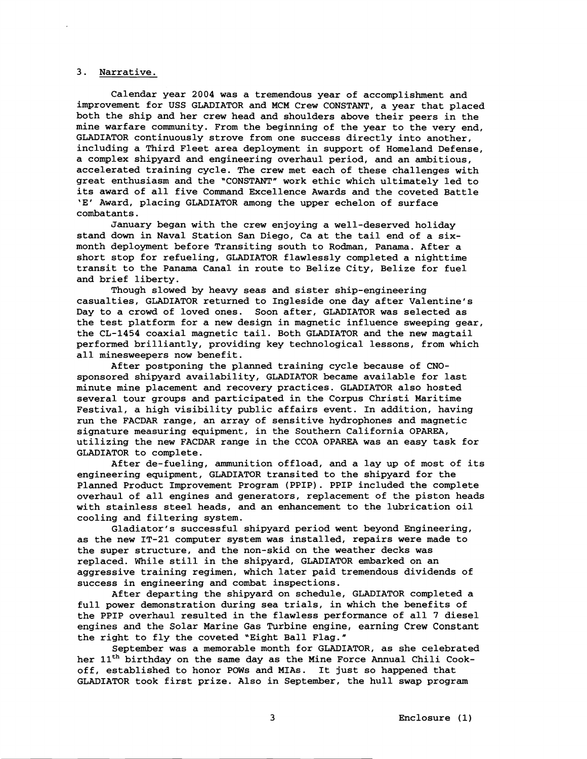## 3. Narrative.

Calendar year 2004 was a tremendous year of accomplishment and improvement for USS GLADIATOR and MCM Crew CONSTANT, a year that placed both the ship and her crew head and shoulders above their peers in the mine warfare community. From the beginning of the year to the very end, GLADIATOR continuously strove from one success directly into another, including a Third Fleet area deployment in support of Homeland Defense, a complex shipyard and engineering overhaul period, and an ambitious, accelerated training cycle. The crew met each of these challenges with great enthusiasm and the "CONSTANT" work ethic which ultimately led to its award of all five Command Excellence Awards and the coveted Battle 'E' Award, placing GLADIATOR among the upper echelon of surface combatants.

January began with the crew enjoying a well-deserved holiday stand down in Naval Station San Diego, Ca at the tail end of a sixmonth deployment before Transiting south to Rodman, Panama. After a short stop for refueling, GLADIATOR flawlessly completed a nighttime transit to the Panama Canal in route to Belize City, Belize for fuel and brief liberty.

Though slowed by heavy seas and sister ship-engineering casualties, GLADIATOR returned to Ingleside one day after Valentine's Day to a crowd of loved ones. Soon after, GLADIATOR was selected as the test platform for a new design in magnetic influence sweeping gear, the CL-1454 coaxial magnetic tail. Both GLADIATOR and the new magtail performed brilliantly, providing key technological lessons, from which all minesweepers now benefit.

After postponing the planned training cycle because of CNOsponsored shipyard availability, GLADIATOR became available for last minute mine placement and recovery practices. GLADIATOR also hosted several tour groups and participated in the Corpus Christi Maritime Festival, a high visibility public affairs event. In addition, having run the FACDAR range, an array of sensitive hydrophones and magnetic signature measuring equipment, in the Southern California OPAREA, utilizing the new FACDAR range in the CCOA OPAREA was an easy task for GLADIATOR to complete.

After de-fueling, ammunition offload, and a lay up of most of its engineering equipment, GLADIATOR transited to the shipyard for the Planned Product Improvement Program (PPIP). PPIP included the complete overhaul of all engines and generators, replacement of the piston heads with stainless steel heads, and an enhancement to the lubrication oil cooling and filtering system.

Gladiator's successful shipyard period went beyond Engineering, as the new IT-21 computer system was installed, repairs were made to the super structure, and the non-skid on the weather decks was replaced. While still in the shipyard, GLADIATOR embarked on an aggressive training regimen, which later paid tremendous dividends of success in engineering and combat inspections.

After departing the shipyard on schedule, GLADIATOR completed a full power demonstration during sea trials, in which the benefits of the PPIP overhaul resulted in the flawless performance of all 7 diesel engines and the Solar Marine Gas Turbine engine, earning Crew Constant the right to fly the coveted "Eight Ball Flag."

September was a memorable month for GLADIATOR, as she celebrated her 11<sup>th</sup> birthday on the same day as the Mine Force Annual Chili Cookoff, established to honor POWs and MIAs. It just so happened that GLADIATOR took first prize. Also in September, the hull swap program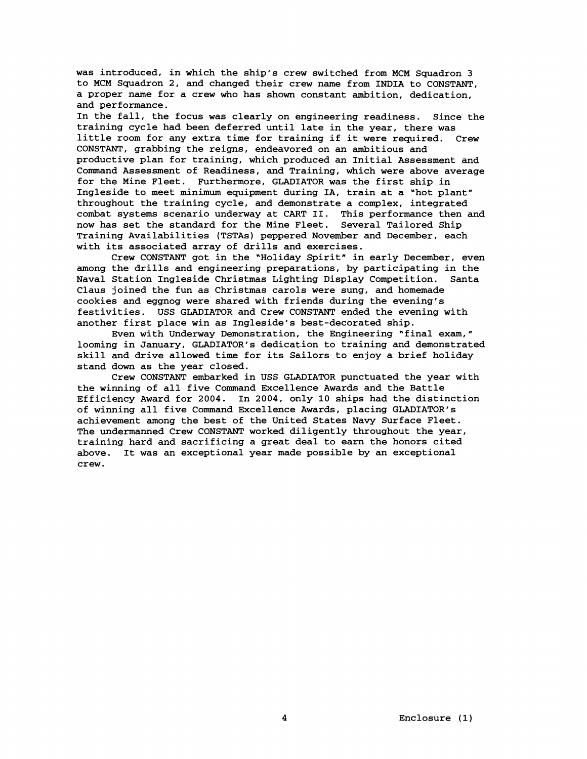was introduced, in which the ship's crew switched from MCM Squadron 3 to MCM Squadron **2,** and changed their crew name from INDIA to CONSTANT, a proper name for a crew who has shown constant ambition, dedication, and performance.

In the fall, the focus was clearly on engineering readiness. Since the training cycle had been deferred until late in the year, there was little room for any extra time for training if it were required. Crew CONSTANT, grabbing the reigns, endeavored on an ambitious and productive plan for training, which produced an Initial Assessment and Command Assessment of Readiness, and Training, which were above average for the Mine Fleet. Furthermore, GLADIATOR was the first ship in Ingleside to meet minimum equipment during IA, train at a "hot plant" throughout the training cycle, and demonstrate a complex, integrated combat systems scenario underway at CART 11. This performance then and now has set the standard for the Mine Fleet. Several Tailored Ship Training Availabilities (TSTAs) peppered November and December, each with its associated array of drills and exercises.

Crew CONSTANT got in the "Holiday Spirit" in early December, even among the drills and engineering preparations, by participating in the Naval Station Ingleside Christmas Lighting Display Competition. Santa Claus joined the fun as Christmas carols were sung, and homemade cookies and eggnog were shared with friends during the evening's festivities. USS GLADIATOR and Crew CONSTANT ended the evening with another first place win as Ingleside's best-decorated ship.

Even with Underway Demonstration, the Engineering "final exam," looming in January, GLADIATOR'S dedication to training and demonstrated skill and drive allowed time for its Sailors to enjoy a brief holiday stand down as the year closed.

Crew CONSTANT embarked in USS GLADIATOR punctuated the year with the winning of all five Command Excellence Awards and the Battle Efficiency Award for **2004.** In **2004,** only **10** ships had the distinction of winning all five Command Excellence Awards, placing GLADIATOR'S achievement among the best of the United States Navy Surface Fleet. The undermanned Crew CONSTANT worked diligently throughout the year, training hard and sacrificing a great deal to earn the honors cited above. It was an exceptional year made possible by an exceptional crew.